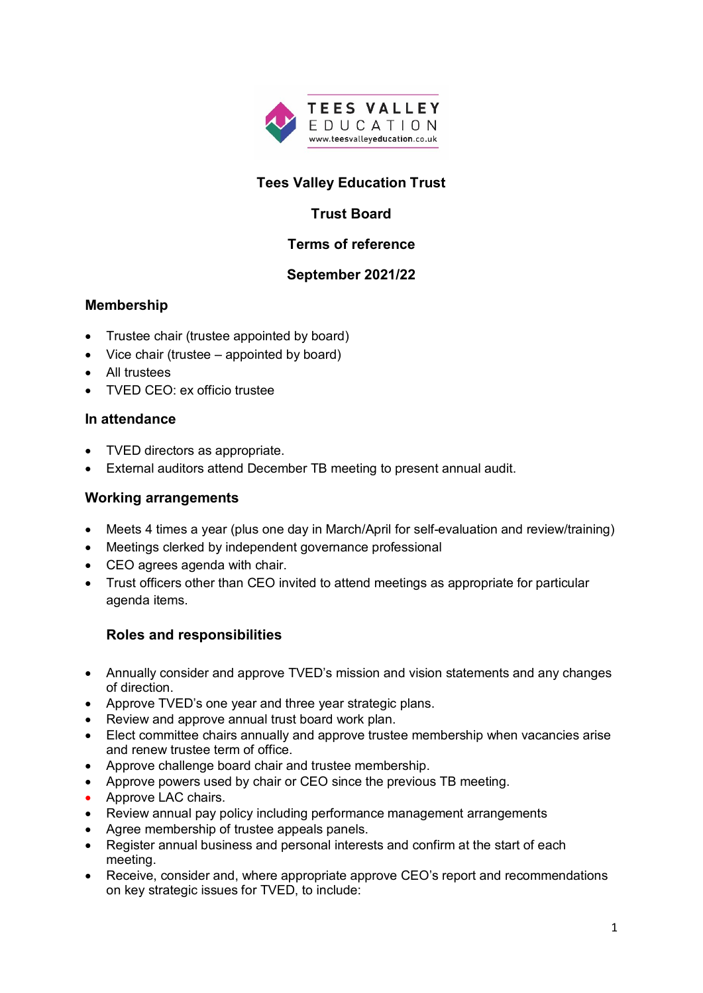

# **Tees Valley Education Trust**

# **Trust Board**

## **Terms of reference**

## **September 2021/22**

## **Membership**

- Trustee chair (trustee appointed by board)
- Vice chair (trustee appointed by board)
- All trustees
- TVED CEO: ex officio trustee

### **In attendance**

- TVED directors as appropriate.
- External auditors attend December TB meeting to present annual audit.

### **Working arrangements**

- Meets 4 times a year (plus one day in March/April for self-evaluation and review/training)
- Meetings clerked by independent governance professional
- CEO agrees agenda with chair.
- Trust officers other than CEO invited to attend meetings as appropriate for particular agenda items.

## **Roles and responsibilities**

- Annually consider and approve TVED's mission and vision statements and any changes of direction.
- Approve TVED's one year and three year strategic plans.
- Review and approve annual trust board work plan.
- Elect committee chairs annually and approve trustee membership when vacancies arise and renew trustee term of office.
- Approve challenge board chair and trustee membership.
- Approve powers used by chair or CEO since the previous TB meeting.
- Approve LAC chairs.
- Review annual pay policy including performance management arrangements
- Agree membership of trustee appeals panels.
- Register annual business and personal interests and confirm at the start of each meeting.
- Receive, consider and, where appropriate approve CEO's report and recommendations on key strategic issues for TVED, to include: